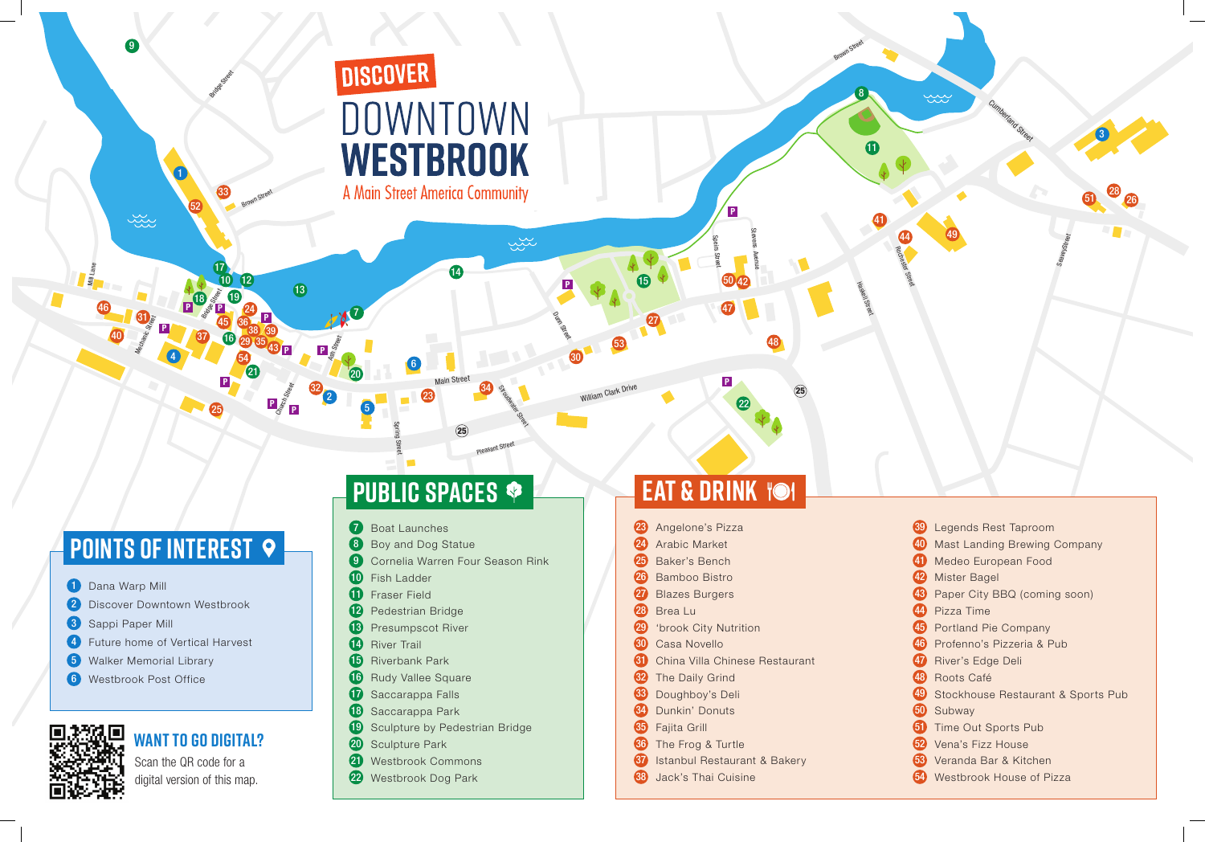# **POINTS OF INTEREST ?**

- 1 Dana Warp Mill
- 2 Discover Downtown Westbrook

Mechanic Street

Main Street

Pleasant Street

 $\mathsf{c}\mathsf{c}$ ರ in $\circ$ ფ సె <sup>e</sup><sup>t</sup>

Church Street

 $\mathfrak{c}$ ರ ei<u>ය</u>  $\mathfrak s$ సె <sup>e</sup><sup>t</sup> St evመ nAve $\epsilon$ e

Ash Street

Mill Lane

- 3 Sappi Paper Mill
- 4 Future home of Vertical Harvest
- 5 Walker Memorial Library
- **6** Westbrook Post Office

Haskell Street



- 23 Angelone's Pizza
- 24 Arabic Market
- 25 Baker's Bench
- 26 Bamboo Bistro
- 27 Blazes Burgers
- 28 Brea Lu
- 29 'brook City Nutrition
- 30 Casa Novello
- 31 China Villa Chinese Restaurant
- **32** The Daily Grind
- 33 Doughboy's Deli
- 34 Dunkin' Donuts
- **35** Fajita Grill
- 36 The Frog & Turtle
- **37** Istanbul Restaurant & Bakery
- **33** Jack's Thai Cuisine

25

25

**P**

**P**

**P P**

**P**

**P P**

**P**

William Clark Drive

- 10 Fish Ladder
- **11** Fraser Field
- 12 Pedestrian Bridge
- 13 Presumpscot River
- 14 River Trail
- **15** Riverbank Park
- 16 Rudy Vallee Square
- 17 Saccarappa Falls
- **18** Saccarappa Park
- 19 Sculpture by Pedestrian Bridge
- 20 Sculpture Park
- 21 Westbrook Commons
- 22 Westbrook Dog Park

**P**

**P**

**<sup>P</sup> <sup>P</sup>**

Scan the QR code for a digital version of this map.

#### **Want to go digital?**

## **public spaces**

| $\stackrel{\sim}{\sim}$<br>$\leftarrow$ | Cumberland Street                          | 8                         |  |
|-----------------------------------------|--------------------------------------------|---------------------------|--|
| 49<br><b>EL ROCHESTER</b>               | $\hat{\blacklozenge}$<br>D<br>SeaveyStreet | 28 26<br>5<br>$\Box$<br>T |  |
|                                         |                                            |                           |  |
|                                         |                                            |                           |  |

| 39) | Legends Rest Taproom                  |
|-----|---------------------------------------|
| 40  | <b>Mast Landing Brewing Company</b>   |
| 40  | Medeo European Food                   |
| 42  | Mister Bagel                          |
| 43  | Paper City BBQ (coming soon)          |
|     | 44 Pizza Time                         |
|     | 45 Portland Pie Company               |
|     | 46 Profenno's Pizzeria & Pub          |
|     | 47 River's Edge Deli                  |
|     | 48 Roots Café                         |
|     | 49 Stockhouse Restaurant & Sports Pub |
|     | 50 Subway                             |
| 61) | <b>Time Out Sports Pub</b>            |
| 62) | Vena's Fizz House                     |
| 63) | Veranda Bar & Kitchen                 |
|     | 54 Westbrook House of Pizza           |
|     |                                       |

### **eat & drink**

21 20

22

23

25

Bridge Street

Brown Street

27

29

30

31

32

8

13

16

9

10 19 14

WESTBROOK

A Main Street America Community

DOWNTOWN

**DISCOVER** 

15

11

17

18

 $\frac{38}{37}$  38 39

12

33

34

Stroudwater Street

يجين

Dunite<sub>g</sub>

35

36

1

6

**7** Boat Launches

2

- 8 Boy and Dog Statue
- **9** Cornelia Warren Four Season Rink

46

**Bridge Street** 

41

42

43

45

47

48

**Brown** Street

50

24

7

4

5

52

53

54